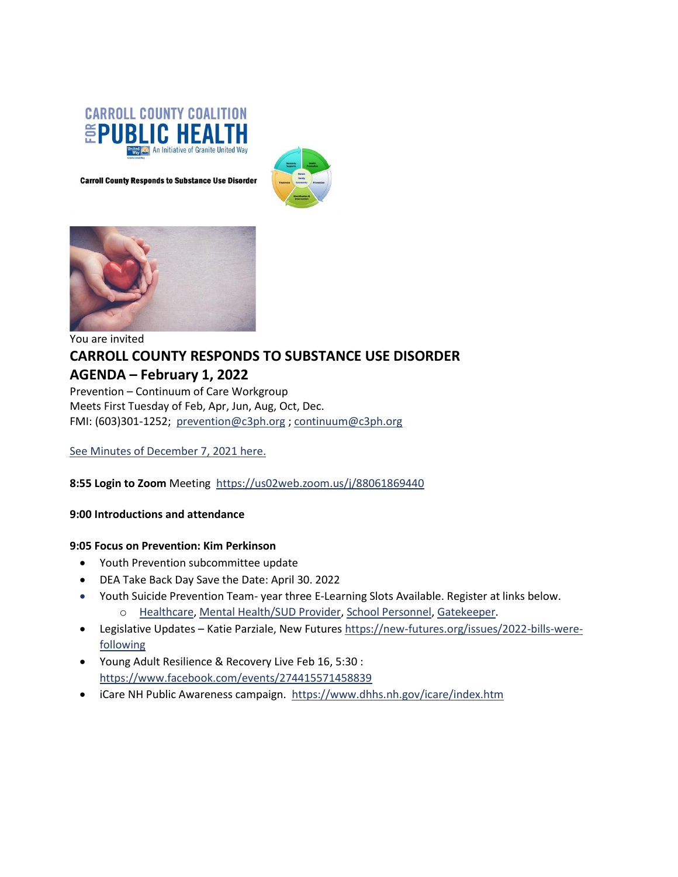

**Carroll County Responds to Substance Use Disorder** 





# You are invited **CARROLL COUNTY RESPONDS TO SUBSTANCE USE DISORDER AGENDA – February 1, 2022**

Prevention – Continuum of Care Workgroup Meets First Tuesday of Feb, Apr, Jun, Aug, Oct, Dec. FMI: (603)301-1252; [prevention@c3ph.org](mailto:prevention@c3ph.org) [; continuum@c3ph.org](mailto:continuum@c3ph.org)

See Minutes of [December 7, 2021](http://www.c3ph.org/assets/pdf/Minutes_SUD_Prevention_CoC_Work_Group_2021_08_03.pdf) here.

**8:55 Login to Zoom** Meeting <https://us02web.zoom.us/j/88061869440>

**9:00 Introductions and attendance**

#### **9:05 Focus on Prevention: Kim Perkinson**

- Youth Prevention subcommittee update
- DEA Take Back Day Save the Date: April 30. 2022
- Youth Suicide Prevention Team- year three E-Learning Slots Available. Register at links below[.](https://docs.google.com/forms/d/e/1FAIpQLSeo6XeWRPcPFZGuOXYk-wdOp6LRqTrmC40yqjrajFPomIAPpA/viewform?usp=sf_link)
	- o [Healthcare,](https://docs.google.com/forms/d/e/1FAIpQLSeo6XeWRPcPFZGuOXYk-wdOp6LRqTrmC40yqjrajFPomIAPpA/viewform?usp=sf_link) [Mental Health/SUD Provider,](https://docs.google.com/forms/d/e/1FAIpQLSfw2oLCrKLIrClB7FhH5mOfqjh3denVPqRUVMc2tfMoZnBbwQ/viewform?usp=sf_link) [School Personnel,](https://docs.google.com/forms/d/e/1FAIpQLSfyuneY39XsTgpD9Ht9xRzT8bbVmBLFN8N--BVHkM8ttkoCKA/viewform?usp=sf_link) [Gatekeeper.](https://docs.google.com/forms/d/e/1FAIpQLScNFgENE-LjEX-w-X2qKOfWWyAINxXljYpAZQcI2ydQr8-tfA/viewform?usp=sf_link)
- Legislative Updates Katie Parziale, New Futures [https://new-futures.org/issues/2022-bills-were](https://new-futures.org/issues/2022-bills-were-following)[following](https://new-futures.org/issues/2022-bills-were-following)
- Young Adult Resilience & Recovery Live Feb 16, 5:30 : <https://www.facebook.com/events/274415571458839>
- iCare NH Public Awareness campaign.<https://www.dhhs.nh.gov/icare/index.htm>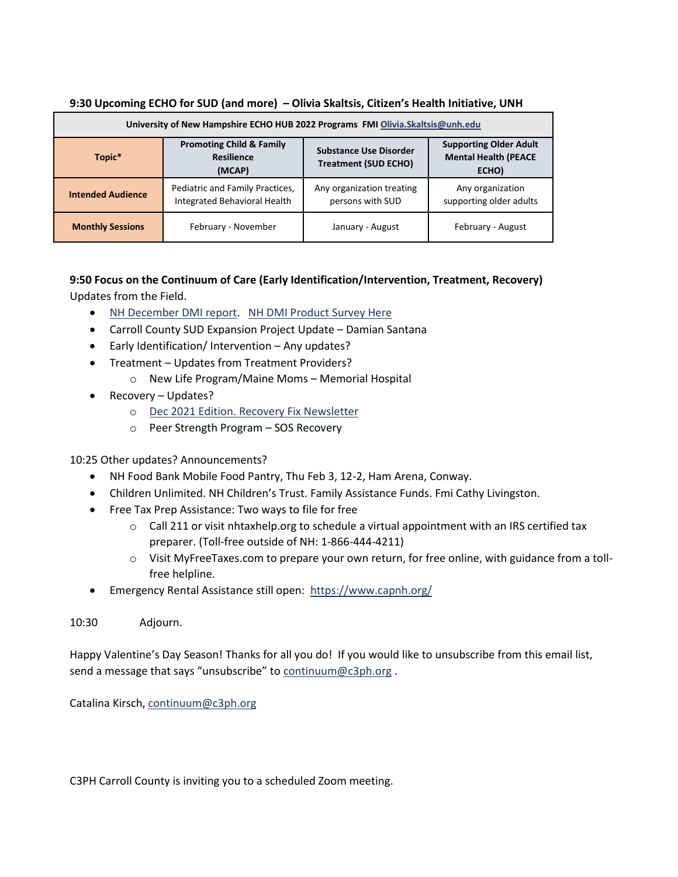| University of New Hampshire ECHO HUB 2022 Programs FMI Olivia. Skaltsis@unh.edu |                                                                        |                                                              |                                                                       |
|---------------------------------------------------------------------------------|------------------------------------------------------------------------|--------------------------------------------------------------|-----------------------------------------------------------------------|
| Topic*                                                                          | <b>Promoting Child &amp; Family</b><br><b>Resilience</b><br>(MCAP)     | <b>Substance Use Disorder</b><br><b>Treatment (SUD ECHO)</b> | <b>Supporting Older Adult</b><br><b>Mental Health (PEACE</b><br>ECHO) |
| <b>Intended Audience</b>                                                        | Pediatric and Family Practices,<br><b>Integrated Behavioral Health</b> | Any organization treating<br>persons with SUD                | Any organization<br>supporting older adults                           |
| <b>Monthly Sessions</b>                                                         | February - November                                                    | January - August                                             | February - August                                                     |

### **9:30 Upcoming ECHO for SUD (and more) – Olivia Skaltsis, Citizen's Health Initiative, UNH**

# **9:50 Focus on the Continuum of Care (Early Identification/Intervention, Treatment, Recovery)** Updates from the Field.

- [NH December DMI report.](http://www.c3ph.org/assets/pdf/NH_DMI_Drug_Environment_Report_-_October_2021_-_UNCLASSIFIED_(2021-5040).pdf) [NH DMI Product Survey Here](http://www.c3ph.org/assets/pdf/NH_Info_and_Analysis_Center_Partner_Feedback_SURVEY_Sept_2021_.pdf)
- Carroll County SUD Expansion Project Update Damian Santana
- Early Identification/ Intervention Any updates?
- Treatment Updates from Treatment Providers?
	- o New Life Program/Maine Moms Memorial Hospital
- Recovery Updates?
	- o [Dec 2021 Edition. Recovery Fix Newsletter](https://nhrecoveryhub.us20.list-manage.com/track/click?u=ff337d5a901e53a80b978f4b4&id=8e8672aa7d&e=5c82b43126)
	- o Peer Strength Program SOS Recovery

# 10:25 Other updates? Announcements?

- NH Food Bank Mobile Food Pantry, Thu Feb 3, 12-2, Ham Arena, Conway.
- Children Unlimited. NH Children's Trust. Family Assistance Funds. Fmi Cathy Livingston.
- Free Tax Prep Assistance: Two ways to file for free
	- $\circ$  Call 211 or visit nhtaxhelp.org to schedule a virtual appointment with an IRS certified tax preparer. (Toll-free outside of NH: 1-866-444-4211)
	- o Visit MyFreeTaxes.com to prepare your own return, for free online, with guidance from a tollfree helpline.
- Emergency Rental Assistance still open: <https://www.capnh.org/>
- 10:30 Adjourn.

Happy Valentine's Day Season! Thanks for all you do! If you would like to unsubscribe from this email list, send a message that says "unsubscribe" to [continuum@c3ph.org](mailto:continuum@c3ph.org).

Catalina Kirsch[, continuum@c3ph.org](mailto:continuum@c3ph.org)

C3PH Carroll County is inviting you to a scheduled Zoom meeting.